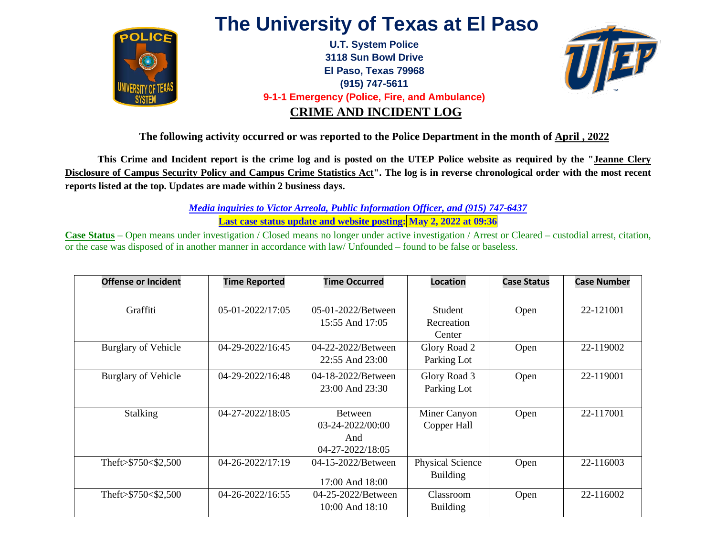

## **The University of Texas at El Paso**

**U.T. System Police 3118 Sun Bowl Drive El Paso, Texas 79968 (915) 747-5611 9-1-1 Emergency (Police, Fire, and Ambulance) CRIME AND INCIDENT LOG**



**The following activity occurred or was reported to the Police Department in the month of April , 2022**

**This Crime and Incident report is the crime log and is posted on the UTEP Police website as required by the "Jeanne Clery Disclosure of Campus Security Policy and Campus Crime Statistics Act". The log is in reverse chronological order with the most recent reports listed at the top. Updates are made within 2 business days.** 

> *Media inquiries to Victor Arreola, Public Information Officer, and (915) 747-6437*  **Last case status update and website posting: May 2, 2022 at 09:36**

**Case Status** – Open means under investigation / Closed means no longer under active investigation / Arrest or Cleared – custodial arrest, citation, or the case was disposed of in another manner in accordance with law/ Unfounded – found to be false or baseless.

| <b>Offense or Incident</b> | <b>Time Reported</b> | <b>Time Occurred</b>   | <b>Location</b>         | <b>Case Status</b> | <b>Case Number</b> |
|----------------------------|----------------------|------------------------|-------------------------|--------------------|--------------------|
|                            |                      |                        |                         |                    |                    |
| Graffiti                   | 05-01-2022/17:05     | 05-01-2022/Between     | Student                 | Open               | 22-121001          |
|                            |                      | 15:55 And 17:05        | Recreation              |                    |                    |
|                            |                      |                        | Center                  |                    |                    |
| <b>Burglary of Vehicle</b> | 04-29-2022/16:45     | 04-22-2022/Between     | Glory Road 2            | Open               | 22-119002          |
|                            |                      | $22:55$ And $23:00$    | Parking Lot             |                    |                    |
| <b>Burglary of Vehicle</b> | 04-29-2022/16:48     | 04-18-2022/Between     | Glory Road 3            | Open               | 22-119001          |
|                            |                      | $23:00$ And $23:30$    | Parking Lot             |                    |                    |
|                            |                      |                        |                         |                    |                    |
| <b>Stalking</b>            | 04-27-2022/18:05     | Between                | Miner Canyon            | Open               | 22-117001          |
|                            |                      | $03 - 24 - 2022/00:00$ | Copper Hall             |                    |                    |
|                            |                      | And                    |                         |                    |                    |
|                            |                      | 04-27-2022/18:05       |                         |                    |                    |
| Theft>\$750<\$2,500        | 04-26-2022/17:19     | 04-15-2022/Between     | <b>Physical Science</b> | Open               | 22-116003          |
|                            |                      |                        | <b>Building</b>         |                    |                    |
|                            |                      | 17:00 And 18:00        |                         |                    |                    |
| Theft>\$750<\$2,500        | 04-26-2022/16:55     | 04-25-2022/Between     | Classroom               | Open               | 22-116002          |
|                            |                      | $10:00$ And $18:10$    | <b>Building</b>         |                    |                    |